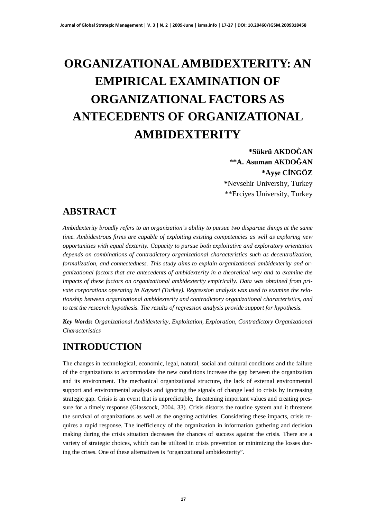# **ORGANIZATIONAL AMBIDEXTERITY: AN EMPIRICAL EXAMINATION OF ORGANIZATIONAL FACTORS AS ANTECEDENTS OF ORGANIZATIONAL AMBIDEXTERITY**

**\*Sükrü AKDOöAN \*\*A. Asuman AKDOöAN \*Ayúe CøNGÖZ \***Nevsehir University, Turkey \*\*Erciyes University, Turkey

### **ABSTRACT**

*Ambidexterity broadly refers to an organization's ability to pursue two disparate things at the same time. Ambidextrous firms are capable of exploiting existing competencies as well as exploring new opportunities with equal dexterity. Capacity to pursue both exploitative and exploratory orientation depends on combinations of contradictory organizational characteristics such as decentralization, formalization, and connectedness. This study aims to explain organizational ambidexterity and organizational factors that are antecedents of ambidexterity in a theoretical way and to examine the impacts of these factors on organizational ambidexterity empirically. Data was obtained from private corporations operating in Kayseri (Turkey). Regression analysis was used to examine the relationship between organizational ambidexterity and contradictory organizational characteristics, and to test the research hypothesis. The results of regression analysis provide support for hypothesis.*

*Key Words: Organizational Ambidexterity, Exploitation, Exploration, Contradictory Organizational Characteristics*

# **INTRODUCTION**

The changes in technological, economic, legal, natural, social and cultural conditions and the failure of the organizations to accommodate the new conditions increase the gap between the organization and its environment. The mechanical organizational structure, the lack of external environmental support and environmental analysis and ignoring the signals of change lead to crisis by increasing strategic gap. Crisis is an event that is unpredictable, threatening important values and creating pressure for a timely response (Glasscock, 2004. 33). Crisis distorts the routine system and it threatens the survival of organizations as well as the ongoing activities. Considering these impacts, crisis requires a rapid response. The inefficiency of the organization in information gathering and decision making during the crisis situation decreases the chances of success against the crisis. There are a variety of strategic choices, which can be utilized in crisis prevention or minimizing the losses during the crises. One of these alternatives is "organizational ambidexterity".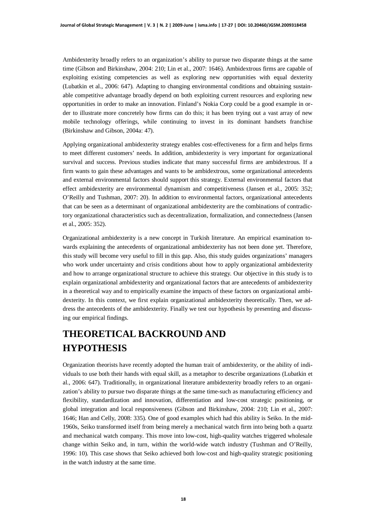Ambidexterity broadly refers to an organization's ability to pursue two disparate things at the same time (Gibson and Birkinshaw, 2004: 210; Lin et al., 2007: 1646). Ambidextrous firms are capable of exploiting existing competencies as well as exploring new opportunities with equal dexterity (Lubatkin et al., 2006: 647). Adapting to changing environmental conditions and obtaining sustainable competitive advantage broadly depend on both exploiting current resources and exploring new opportunities in order to make an innovation. Finland's Nokia Corp could be a good example in order to illustrate more concretely how firms can do this; it has been trying out a vast array of new mobile technology offerings, while continuing to invest in its dominant handsets franchise (Birkinshaw and Gibson, 2004a: 47).

Applying organizational ambidexterity strategy enables cost-effectiveness for a firm and helps firms to meet different customers' needs. In addition, ambidexterity is very important for organizational survival and success. Previous studies indicate that many successful firms are ambidextrous. If a firm wants to gain these advantages and wants to be ambidextrous, some organizational antecedents and external environmental factors should support this strategy. External environmental factors that effect ambidexterity are environmental dynamism and competitiveness (Jansen et al., 2005: 352; O'Reilly and Tushman, 2007: 20). In addition to environmental factors, organizational antecedents that can be seen as a determinant of organizational ambidexterity are the combinations of contradictory organizational characteristics such as decentralization, formalization, and connectedness (Jansen et al., 2005: 352).

Organizational ambidexterity is a new concept in Turkish literature. An empirical examination towards explaining the antecedents of organizational ambidexterity has not been done yet. Therefore, this study will become very useful to fill in this gap. Also, this study guides organizations' managers who work under uncertainty and crisis conditions about how to apply organizational ambidexterity and how to arrange organizational structure to achieve this strategy. Our objective in this study is to explain organizational ambidexterity and organizational factors that are antecedents of ambidexterity in a theoretical way and to empirically examine the impacts of these factors on organizational ambidexterity. In this context, we first explain organizational ambidexterity theoretically. Then, we address the antecedents of the ambidexterity. Finally we test our hypothesis by presenting and discussing our empirical findings.

# **THEORETICAL BACKROUND AND HYPOTHESIS**

Organization theorists have recently adopted the human trait of ambidexterity, or the ability of individuals to use both their hands with equal skill, as a metaphor to describe organizations (Lubatkin et al., 2006: 647). Traditionally, in organizational literature ambidexterity broadly refers to an organization's ability to pursue two disparate things at the same time-such as manufacturing efficiency and flexibility, standardization and innovation, differentiation and low-cost strategic positioning, or global integration and local responsiveness (Gibson and Birkinshaw, 2004: 210; Lin et al., 2007: 1646; Han and Celly, 2008: 335). One of good examples which had this ability is Seiko. In the mid-1960s, Seiko transformed itself from being merely a mechanical watch firm into being both a quartz and mechanical watch company. This move into low-cost, high-quality watches triggered wholesale change within Seiko and, in turn, within the world-wide watch industry (Tushman and O'Reilly, 1996: 10). This case shows that Seiko achieved both low-cost and high-quality strategic positioning in the watch industry at the same time.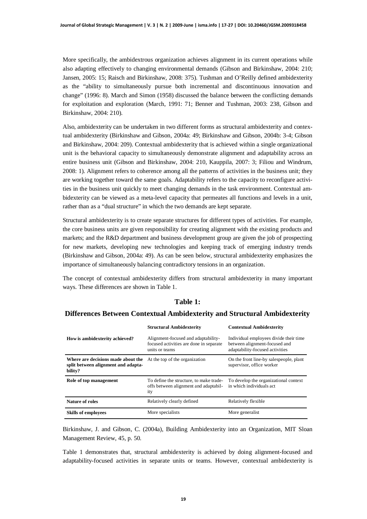More specifically, the ambidextrous organization achieves alignment in its current operations while also adapting effectively to changing environmental demands (Gibson and Birkinshaw, 2004: 210; Jansen, 2005: 15; Raisch and Birkinshaw, 2008: 375). Tushman and O'Reilly defined ambidexterity as the "ability to simultaneously pursue both incremental and discontinuous innovation and change" (1996: 8). March and Simon (1958) discussed the balance between the conflicting demands for exploitation and exploration (March, 1991: 71; Benner and Tushman, 2003: 238, Gibson and Birkinshaw, 2004: 210).

Also, ambidexterity can be undertaken in two different forms as structural ambidexterity and contextual ambidexterity (Birkinshaw and Gibson, 2004a: 49; Birkinshaw and Gibson, 2004b: 3-4; Gibson and Birkinshaw, 2004: 209). Contextual ambidexterity that is achieved within a single organizational unit is the behavioral capacity to simultaneously demonstrate alignment and adaptability across an entire business unit (Gibson and Birkinshaw, 2004: 210, Kauppila, 2007: 3; Filiou and Windrum, 2008: 1). Alignment refers to coherence among all the patterns of activities in the business unit; they are working together toward the same goals. Adaptability refers to the capacity to reconfigure activities in the business unit quickly to meet changing demands in the task environment. Contextual ambidexterity can be viewed as a meta-level capacity that permeates all functions and levels in a unit, rather than as a "dual structure" in which the two demands are kept separate.

Structural ambidexterity is to create separate structures for different types of activities. For example, the core business units are given responsibility for creating alignment with the existing products and markets; and the R&D department and business development group are given the job of prospecting for new markets, developing new technologies and keeping track of emerging industry trends (Birkinshaw and Gibson, 2004a: 49). As can be seen below, structural ambidexterity emphasizes the importance of simultaneously balancing contradictory tensions in an organization.

The concept of contextual ambidexterity differs from structural ambidexterity in many important ways. These differences are shown in Table 1.

#### **Table 1:**

#### **Differences Between Contextual Ambidexterity and Structural Ambidexterity**

|                                                                                      | <b>Structural Ambidexterity</b>                                                                  | <b>Contextual Ambidexterity</b>                                                                            |
|--------------------------------------------------------------------------------------|--------------------------------------------------------------------------------------------------|------------------------------------------------------------------------------------------------------------|
| How is ambidexterity achieved?                                                       | Alignment-focused and adaptability-<br>focused activities are done in separate<br>units or teams | Individual employees divide their time<br>between alignment-focused and<br>adaptability-focused activities |
| Where are decisions made about the<br>split between alignment and adapta-<br>bility? | At the top of the organization                                                                   | On the front line-by salespeople, plant<br>supervisor, office worker                                       |
| Role of top management                                                               | To define the structure, to make trade-<br>offs between alignment and adaptabil-<br>ity          | To develop the organizational context<br>in which individuals act                                          |
| Nature of roles                                                                      | Relatively clearly defined                                                                       | Relatively flexible                                                                                        |
| <b>Skills of employees</b>                                                           | More specialists                                                                                 | More generalist                                                                                            |

Birkinshaw, J. and Gibson, C. (2004a), Building Ambidexterity into an Organization, MIT Sloan Management Review, 45, p. 50.

Table 1 demonstrates that, structural ambidexterity is achieved by doing alignment-focused and adaptability-focused activities in separate units or teams. However, contextual ambidexterity is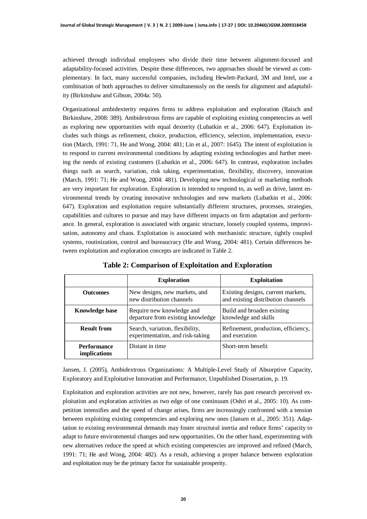achieved through individual employees who divide their time between alignment-focused and adaptability-focused activities. Despite these differences, two approaches should be viewed as complementary. In fact, many successful companies, including Hewlett-Packard, 3M and Intel, use a combination of both approaches to deliver simultaneously on the needs for alignment and adaptability (Birkinshaw and Gibson, 2004a: 50).

Organizational ambidexterity requires firms to address exploitation and exploration (Raisch and Birkinshaw, 2008: 389). Ambidextrous firms are capable of exploiting existing competencies as well as exploring new opportunities with equal dexterity (Lubatkin et al., 2006: 647). Exploitation includes such things as refinement, choice, production, efficiency, selection, implementation, execution (March, 1991: 71, He and Wong, 2004: 481; Lin et al., 2007: 1645). The intent of exploitation is to respond to current environmental conditions by adapting existing technologies and further meeting the needs of existing customers (Lubatkin et al., 2006: 647). In contrast, exploration includes things such as search, variation, risk taking, experimentation, flexibility, discovery, innovation (March, 1991: 71; He and Wong, 2004: 481). Developing new technological or marketing methods are very important for exploration. Exploration is intended to respond to, as well as drive, latent environmental trends by creating innovative technologies and new markets (Lubatkin et al., 2006: 647). Exploration and exploitation require substantially different structures, processes, strategies, capabilities and cultures to pursue and may have different impacts on firm adaptation and performance. In general, exploration is associated with organic structure, loosely coupled systems, improvisation, autonomy and chaos. Exploitation is associated with mechanistic structure, tightly coupled systems, routinization, control and bureaucracy (He and Wong, 2004: 481). Certain differences between exploitation and exploration concepts are indicated in Table 2.

|                                           | <b>Exploration</b>                                                  | <b>Exploitation</b>                                                      |
|-------------------------------------------|---------------------------------------------------------------------|--------------------------------------------------------------------------|
| <b>Outcomes</b>                           | New designs, new markets, and<br>new distribution channels          | Existing designs, current markets,<br>and existing distribution channels |
| <b>Knowledge base</b>                     | Require new knowledge and<br>departure from existing knowledge      | Build and broaden existing<br>knowledge and skills                       |
| <b>Result from</b>                        | Search, variation, flexibility,<br>experimentation, and risk-taking | Refinement, production, efficiency,<br>and execution                     |
| <b>Performance</b><br><i>implications</i> | Distant in time                                                     | Short-term benefit                                                       |

**Table 2: Comparison of Exploitation and Exploration**

Jansen, J. (2005), Ambidextrous Organizations: A Multiple-Level Study of Absorptive Capacity, Exploratory and Exploitative Innovation and Performance, Unpublished Dissertation, p. 19.

Exploitation and exploration activities are not new, however, rarely has past research perceived exploitation and exploration activities as two edge of one continuum (Oshri et al., 2005: 10). As competition intensifies and the speed of change arises, firms are increasingly confronted with a tension between exploiting existing competencies and exploring new ones (Jansen et al., 2005: 351). Adaptation to existing environmental demands may foster structural inertia and reduce firms' capacity to adapt to future environmental changes and new opportunities. On the other hand, experimenting with new alternatives reduce the speed at which existing competencies are improved and refined (March, 1991: 71; He and Wong, 2004: 482). As a result, achieving a proper balance between exploration and exploitation may be the primary factor for sustainable prosperity.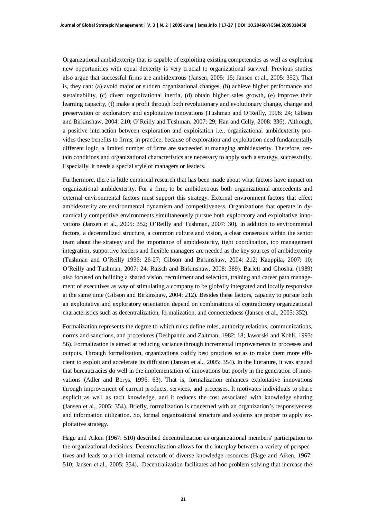Organizational ambidexterity that is capable of exploiting existing competencies as well as exploring new opportunities with equal dexterity is very crucial to organizational survival. Previous studies also argue that successful firms are ambidextrous (Jansen, 2005: 15; Jansen et al., 2005: 352). That is, they can: (a) avoid major or sudden organizational changes, (b) achieve higher performance and sustainability, (c) divert organizational inertia, (d) obtain higher sales growth, (e) improve their learning capacity, (f) make a profit through both revolutionary and evolutionary change, change and preservation or exploratory and exploitative innovations (Tushman and O'Reilly, 1996: 24; Gibson and Birkinshaw, 2004: 210; O'Reilly and Tushman, 2007: 29; Han and Celly, 2008: 336). Although, a positive interaction between exploration and exploitation i.e., organizational ambidexterity provides these benefits to firms, in practice; because of exploration and exploitation need fundamentally different logic, a limited number of firms are succeeded at managing ambidexterity. Therefore, certain conditions and organizational characteristics are necessary to apply such a strategy, successfully. Especially, it needs a special style of managers or leaders.

Furthermore, there is little empirical research that has been made about what factors have impact on organizational ambidexterity. For a firm, to be ambidextrous both organizational antecedents and external environmental factors must support this strategy. External environment factors that effect ambidexterity are environmental dynamism and competitiveness. Organizations that operate in dynamically competitive environments simultaneously pursue both exploratory and exploitative innovations (Jansen et al., 2005: 352; O'Reilly and Tushman, 2007: 30). In addition to environmental factors, a decentralized structure, a common culture and vision, a clear consensus within the senior team about the strategy and the importance of ambidexterity, tight coordination, top management integration, supportive leaders and flexible managers are needed as the key sources of ambidexterity (Tushman and O'Reilly 1996: 26-27; Gibson and Birkinshaw, 2004: 212; Kauppila, 2007: 10; O'Reilly and Tushman, 2007: 24; Raisch and Birkinshaw, 2008: 389). Barlett and Ghoshal (1989) also focused on building a shared vision, recruitment and selection, training and career path management of executives as way of stimulating a company to be globally integrated and locally responsive at the same time (Gibson and Birkinshaw, 2004: 212). Besides these factors, capacity to pursue both an exploitative and exploratory orientation depend on combinations of contradictory organizational characteristics such as decentralization, formalization, and connectedness (Jansen et al., 2005: 352).

Formalization represents the degree to which rules define roles, authority relations, communications, norms and sanctions, and procedures (Deshpande and Zaltman, 1982: 18; Jaworski and Kohli, 1993: 56). Formalization is aimed at reducing variance through incremental improvements in processes and outputs. Through formalization, organizations codify best practices so as to make them more efficient to exploit and accelerate its diffusion (Jansen et al., 2005: 354). In the literature, it was argued that bureaucracies do well in the implementation of innovations but poorly in the generation of innovations (Adler and Borys, 1996: 63). That is, formalization enhances exploitative innovations through improvement of current products, services, and processes. It motivates individuals to share explicit as well as tacit knowledge, and it reduces the cost associated with knowledge sharing (Jansen et al., 2005: 354). Briefly, formalization is concerned with an organization's responsiveness and information utilization. So, formal organizational structure and systems are proper to apply exploitative strategy.

Hage and Aiken (1967: 510) described decentralization as organizational members' participation to the organizational decisions. Decentralization allows for the interplay between a variety of perspectives and leads to a rich internal network of diverse knowledge resources (Hage and Aiken, 1967: 510; Jansen et al., 2005: 354). Decentralization facilitates ad hoc problem solving that increase the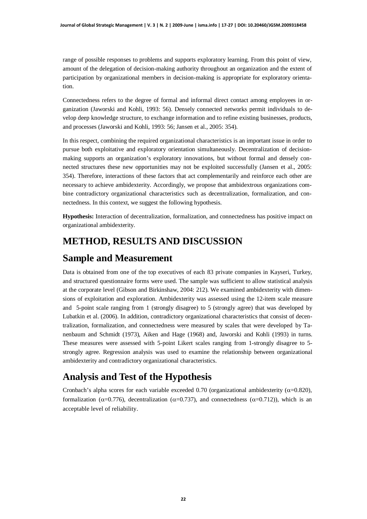range of possible responses to problems and supports exploratory learning. From this point of view, amount of the delegation of decision-making authority throughout an organization and the extent of participation by organizational members in decision-making is appropriate for exploratory orientation.

Connectedness refers to the degree of formal and informal direct contact among employees in organization (Jaworski and Kohli, 1993: 56). Densely connected networks permit individuals to develop deep knowledge structure, to exchange information and to refine existing businesses, products, and processes (Jaworski and Kohli, 1993: 56; Jansen et al., 2005: 354).

In this respect, combining the required organizational characteristics is an important issue in order to pursue both exploitative and exploratory orientation simultaneously. Decentralization of decisionmaking supports an organization's exploratory innovations, but without formal and densely connected structures these new opportunities may not be exploited successfully (Jansen et al., 2005: 354). Therefore, interactions of these factors that act complementarily and reinforce each other are necessary to achieve ambidexterity. Accordingly, we propose that ambidextrous organizations combine contradictory organizational characteristics such as decentralization, formalization, and connectedness. In this context, we suggest the following hypothesis.

**Hypothesis:** Interaction of decentralization, formalization, and connectedness has positive impact on organizational ambidexterity.

## **METHOD, RESULTS AND DISCUSSION**

#### **Sample and Measurement**

Data is obtained from one of the top executives of each 83 private companies in Kayseri, Turkey, and structured questionnaire forms were used. The sample was sufficient to allow statistical analysis at the corporate level (Gibson and Birkinshaw, 2004: 212). We examined ambidexterity with dimensions of exploitation and exploration. Ambidexterity was assessed using the 12-item scale measure and 5-point scale ranging from 1 (strongly disagree) to 5 (strongly agree) that was developed by Lubatkin et al. (2006). In addition, contradictory organizational characteristics that consist of decentralization, formalization, and connectedness were measured by scales that were developed by Tanenbaum and Schmidt (1973), Aiken and Hage (1968) and, Jaworski and Kohli (1993) in turns. These measures were assessed with 5-point Likert scales ranging from 1-strongly disagree to 5 strongly agree. Regression analysis was used to examine the relationship between organizational ambidexterity and contradictory organizational characteristics.

### **Analysis and Test of the Hypothesis**

Cronbach's alpha scores for each variable exceeded 0.70 (organizational ambidexterity  $(\alpha=0.820)$ , formalization ( $\alpha$ =0.776), decentralization ( $\alpha$ =0.737), and connectedness ( $\alpha$ =0.712)), which is an acceptable level of reliability.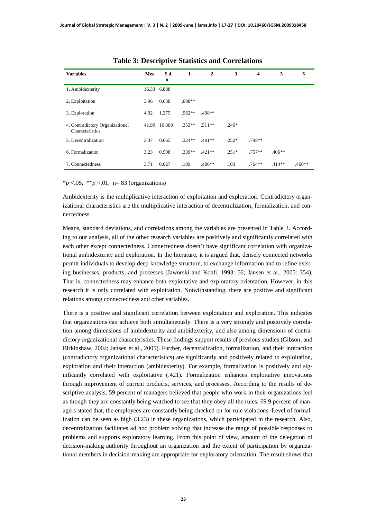| <b>Variables</b>                                   | Mea   | S.d.<br>n   | 1        | $\overline{2}$ | 3       | $\overline{\mathbf{4}}$ | 5        | 6        |
|----------------------------------------------------|-------|-------------|----------|----------------|---------|-------------------------|----------|----------|
| 1. Ambidexterity                                   |       | 16.33 6.888 |          |                |         |                         |          |          |
| 2. Exploitation                                    | 3.96  | 0.638       | $.688**$ |                |         |                         |          |          |
| 3. Exploration                                     | 4.02  | 1.275       | $.962**$ | .498**         |         |                         |          |          |
| 4. Contradictory Organizational<br>Characteristics | 41.99 | 16.808      | $.353**$ | $.511**$       | $.246*$ |                         |          |          |
| 5. Decentralization                                | 3.37  | 0.665       | $.324**$ | $.401**$       | $.252*$ | $.798**$                |          |          |
| 6. Formalization                                   | 3.23  | 0.508       | $.339**$ | $.421**$       | $.251*$ | $.757**$                | $.406**$ |          |
| 7. Connectedness                                   | 3.71  | 0.627       | .189     | $.406**$       | .103    | $.764**$                | $.414**$ | $.460**$ |

\**p* <.05, \*\**p* <.01, n= 83 (organizations)

Ambidexterity is the multiplicative interaction of exploitation and exploration. Contradictory organizational characteristics are the multiplicative interaction of decentralization, formalization, and connectedness.

Means, standard deviations, and correlations among the variables are presented in Table 3. According to our analysis, all of the other research variables are positively and significantly correlated with each other except connectedness. Connectedness doesn't have significant correlation with organizational ambidexterity and exploration. In the literature, it is argued that, densely connected networks permit individuals to develop deep knowledge structure, to exchange information and to refine existing businesses, products, and processes (Jaworski and Kohli, 1993: 56; Jansen et al., 2005: 354). That is, connectedness may enhance both exploitative and exploratory orientation. However, in this research it is only correlated with exploitation. Notwithstanding, there are positive and significant relations among connectedness and other variables.

There is a positive and significant correlation between exploitation and exploration. This indicates that organizations can achieve both simultaneously. There is a very strongly and positively correlation among dimensions of ambidexterity and ambidexterity, and also among dimensions of contradictory organizational characteristics. These findings support results of previous studies (Gibson, and Birkinshaw, 2004; Jansen et al., 2005). Further, decentralization, formalization, and their interaction (contradictory organizational characteristics) are significantly and positively related to exploitation, exploration and their interaction (ambidexterity). For example, formalization is positively and significantly correlated with exploitative (.421). Formalization enhances exploitative innovations through improvement of current products, services, and processes. According to the results of descriptive analysis, 59 percent of managers believed that people who work in their organizations feel as though they are constantly being watched to see that they obey all the rules. 69.9 percent of managers stated that, the employees are constantly being checked on for rule violations. Level of formalization can be seen as high (3.23) in these organizations, which participated in the research. Also, decentralization facilitates ad hoc problem solving that increase the range of possible responses to problems and supports exploratory learning. From this point of view, amount of the delegation of decision-making authority throughout an organization and the extent of participation by organizational members in decision-making are appropriate for exploratory orientation. The result shows that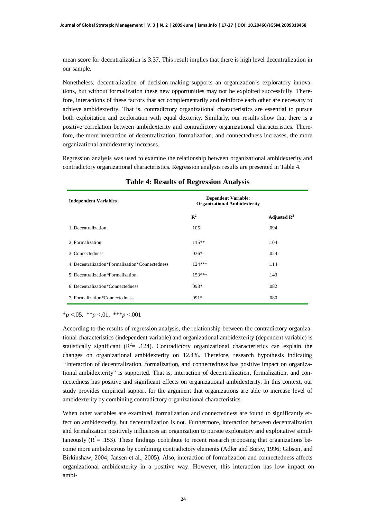mean score for decentralization is 3.37. This result implies that there is high level decentralization in our sample.

Nonetheless, decentralization of decision-making supports an organization's exploratory innovations, but without formalization these new opportunities may not be exploited successfully. Therefore, interactions of these factors that act complementarily and reinforce each other are necessary to achieve ambidexterity. That is, contradictory organizational characteristics are essential to pursue both exploitation and exploration with equal dexterity. Similarly, our results show that there is a positive correlation between ambidexterity and contradictory organizational characteristics. Therefore, the more interaction of decentralization, formalization, and connectedness increases, the more organizational ambidexterity increases.

Regression analysis was used to examine the relationship between organizational ambidexterity and contradictory organizational characteristics. Regression analysis results are presented in Table 4.

| <b>Independent Variables</b>                    | <b>Dependent Variable:</b><br><b>Organizational Ambidexterity</b> |                         |
|-------------------------------------------------|-------------------------------------------------------------------|-------------------------|
|                                                 | $\mathbb{R}^2$                                                    | Adjusted $\mathbb{R}^2$ |
| 1. Decentralization                             | .105                                                              | .094                    |
| 2. Formalization                                | $.115**$                                                          | .104                    |
| 3. Connectedness                                | $.036*$                                                           | .024                    |
| 4. Decentralization*Formalization*Connectedness | $124***$                                                          | .114                    |
| 5. Decentralization*Formalization               | $.153***$                                                         | .143                    |
| 6. Decentralization*Connectedness               | $.093*$                                                           | .082                    |
| 7. Formalization*Connectedness                  | $.091*$                                                           | .080                    |

#### **Table 4: Results of Regression Analysis**

\**p* <.05, \*\**p* <.01, \*\*\**p* <.001

According to the results of regression analysis, the relationship between the contradictory organizational characteristics (independent variable) and organizational ambidexterity (dependent variable) is statistically significant ( $R^2$ = .124). Contradictory organizational characteristics can explain the changes on organizational ambidexterity on 12.4%. Therefore, research hypothesis indicating *"*Interaction of decentralization, formalization, and connectedness has positive impact on organizational ambidexterity" is supported. That is, interaction of decentralization, formalization, and connectedness has positive and significant effects on organizational ambidexterity. In this context, our study provides empirical support for the argument that organizations are able to increase level of ambidexterity by combining contradictory organizational characteristics.

When other variables are examined, formalization and connectedness are found to significantly effect on ambidexterity, but decentralization is not. Furthermore, interaction between decentralization and formalization positively influences an organization to pursue exploratory and exploitative simultaneously ( $\mathbb{R}^2$  = .153). These findings contribute to recent research proposing that organizations become more ambidextrous by combining contradictory elements (Adler and Borsy, 1996; Gibson, and Birkinshaw, 2004; Jansen et al., 2005). Also, interaction of formalization and connectedness affects organizational ambidexterity in a positive way. However, this interaction has low impact on ambi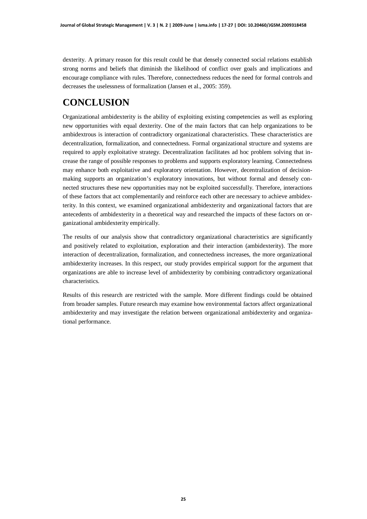dexterity. A primary reason for this result could be that densely connected social relations establish strong norms and beliefs that diminish the likelihood of conflict over goals and implications and encourage compliance with rules. Therefore, connectedness reduces the need for formal controls and decreases the uselessness of formalization (Jansen et al., 2005: 359).

# **CONCLUSION**

Organizational ambidexterity is the ability of exploiting existing competencies as well as exploring new opportunities with equal dexterity. One of the main factors that can help organizations to be ambidextrous is interaction of contradictory organizational characteristics. These characteristics are decentralization, formalization, and connectedness. Formal organizational structure and systems are required to apply exploitative strategy. Decentralization facilitates ad hoc problem solving that increase the range of possible responses to problems and supports exploratory learning. Connectedness may enhance both exploitative and exploratory orientation. However, decentralization of decisionmaking supports an organization's exploratory innovations, but without formal and densely connected structures these new opportunities may not be exploited successfully. Therefore, interactions of these factors that act complementarily and reinforce each other are necessary to achieve ambidexterity. In this context, we examined organizational ambidexterity and organizational factors that are antecedents of ambidexterity in a theoretical way and researched the impacts of these factors on organizational ambidexterity empirically.

The results of our analysis show that contradictory organizational characteristics are significantly and positively related to exploitation, exploration and their interaction (ambidexterity). The more interaction of decentralization, formalization, and connectedness increases, the more organizational ambidexterity increases. In this respect, our study provides empirical support for the argument that organizations are able to increase level of ambidexterity by combining contradictory organizational characteristics.

Results of this research are restricted with the sample. More different findings could be obtained from broader samples. Future research may examine how environmental factors affect organizational ambidexterity and may investigate the relation between organizational ambidexterity and organizational performance.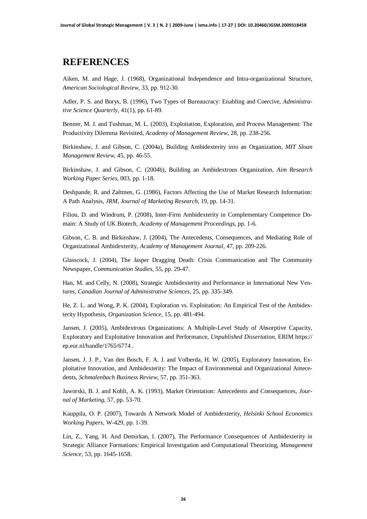### **REFERENCES**

Aiken, M. and Hage, J. (1968), Organizational Independence and Intra-organizational Structure, *American Sociological Review,* 33, pp. 912-30.

Adler, P. S. and Borys, B. (1996), Two Types of Bureaucracy: Enabling and Coercive, *Administrative Science Quarterly,* 41(1), pp. 61-89.

Benner, M. J. and Tushman, M. L. (2003), Exploitation, Exploration, and Process Management: The Productivity Dilemma Revisited, *Academy of Management Review*, 28, pp. 238-256.

Birkinshaw, J. and Gibson, C. (2004a), Building Ambidexterity into an Organization, *MIT Sloan Management Review,* 45, pp. 46-55.

Birkinshaw, J. and Gibson, C. (2004b), Building an Ambidextrous Organization, *Aim Research Working Paper Series,* 003, pp. 1-18.

Deshpande, R. and Zaltmen, G. (1986), Factors Affecting the Use of Market Research Information: A Path Analysis, *JRM, Journal of Marketing Research,* 19, pp. 14-31.

Filiou, D. and Windrum, P. (2008), Inter-Firm Ambidexterity in Complementary Competence Domain: A Study of UK Biotech, *Academy of Management Proceedings,* pp. 1-6.

Gibson, C. B. and Birkinshaw, J. (2004), The Antecedents, Consequences, and Mediating Role of Organizational Ambidexterity, *Academy of Management Journal*, 47, pp. 209-226.

Glasscock, J. (2004), The Jasper Dragging Death: Crisis Communication and The Community Newspaper, *Communication Studies,* 55, pp. 29-47.

Han, M. and Celly, N. (2008), Strategic Ambidexterity and Performance in International New Ventures, *Canadian Journal of Administrative Sciences,* 25, pp. 335-349.

He, Z. L. and Wong, P. K. (2004), Exploration vs. Exploitation: An Empirical Test of the Ambidexterity Hypothesis, *Organization Science,* 15, pp. 481-494.

Jansen, J. (2005), Ambidextrous Organizations: A Multiple-Level Study of Absorptive Capacity, Exploratory and Exploitative Innovation and Performance, *Unpublished Dissertation,* ERIM https:// ep.eur.nl/handle/1765/6774 .

Jansen, J. J. P., Van den Bosch, F. A. J. and Volberda, H. W. (2005), Exploratory Innovation, Exploitative Innovation, and Ambidexterity: The Impact of Environmental and Organizational Antecedents*, Schmalenbach Business Review,* 57, pp. 351-363.

Jaworski, B. J. and Kohli, A. K. (1993), Market Orientation: Antecedents and Consequences, *Journal of Marketing*, 57, pp. 53-70.

Kauppila, O. P. (2007), Towards A Network Model of Ambidexterity, *Helsinki School Economics Working Papers,* W-429, pp. 1-39.

Lin, Z., Yang, H. And Demirkan, I. (2007), The Performance Consequences of Ambidexterity in Strategic Alliance Formations: Empirical Investigation and Computational Theorizing, *Management Science*, 53, pp. 1645-1658.